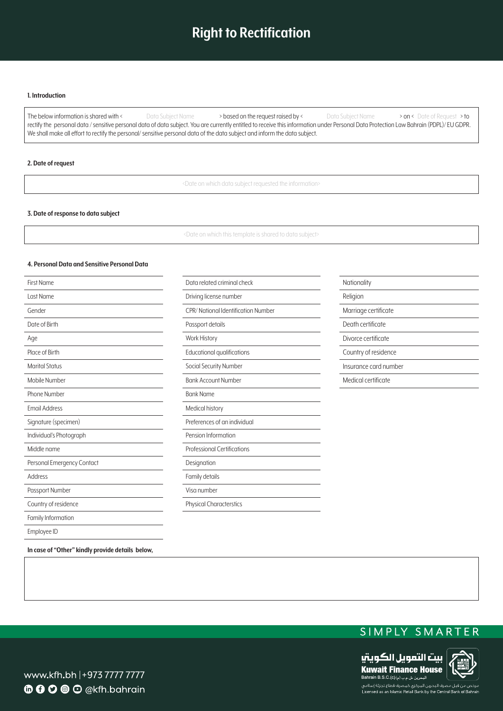# **Right to Rectification**

#### **I.** Introduction

The below information is shared with < Data Subject Name > based on the request raised by < What Subject Name > on < Date of Request > to rectify the personal data / sensitive personal data of data subject. You are currently entitled to receive this information under Personal Data Protection Law Bahrain (PDPL)/ EU GDPR. We shall make all effort to rectify the personal/ sensitive personal data of the data subject and inform the data subject.

### **2.** Date of request

<Date on which data subject requested the information>

### **3. Date of response to data subject**

<Date on which this template is shared to data subject>

# **4. Personal Data and Sensitive Personal Data**

| First Name                 | Data related criminal check        | Nationality           |
|----------------------------|------------------------------------|-----------------------|
| Last Name                  | Driving license number             | Religion              |
| Gender                     | CPR/National Identification Number | Marriage certificate  |
| Date of Birth              | Passport details                   | Death certificate     |
| Age                        | Work History                       | Divorce certificate   |
| Place of Birth             | Educational qualifications         | Country of residence  |
| <b>Marital Status</b>      | Social Security Number             | Insurance card number |
| Mobile Number              | <b>Bank Account Number</b>         | Medical certificate   |
| Phone Number               | <b>Bank Name</b>                   |                       |
| <b>Email Address</b>       | Medical history                    |                       |
| Signature (specimen)       | Preferences of an individual       |                       |
| Individual's Photograph    | Pension Information                |                       |
| Middle name                | <b>Professional Certifications</b> |                       |
| Personal Emergency Contact | Designation                        |                       |
| Address                    | Family details                     |                       |
| Passport Number            | Visa number                        |                       |
| Country of residence       | <b>Physical Characterstics</b>     |                       |
| Family Information         |                                    |                       |
| Employee ID                |                                    |                       |

In case of "Other" kindly provide details below,





www.kfh.bh |+973 7777 7777 **6000** O @kfh.bahrain